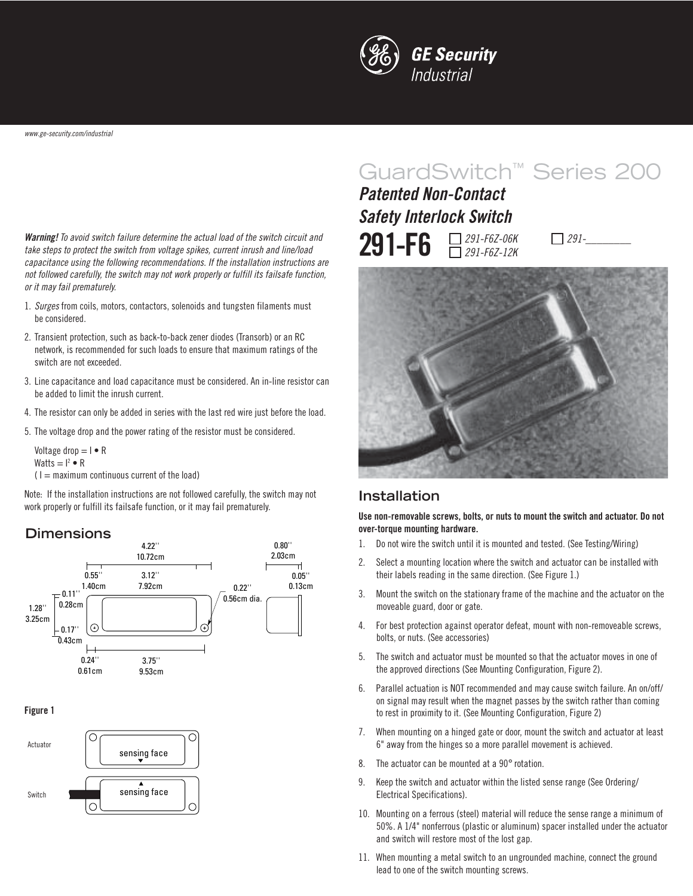

**Warning!** To avoid switch failure determine the actual load of the switch circuit and take steps to protect the switch from voltage spikes, current inrush and line/load capacitance using the following recommendations. If the installation instructions are not followed carefully, the switch may not work properly or fulfill its failsafe function, or it may fail prematurely.

- 1. Surges from coils, motors, contactors, solenoids and tungsten filaments must be considered.
- 2. Transient protection, such as back-to-back zener diodes (Transorb) or an RC network, is recommended for such loads to ensure that maximum ratings of the switch are not exceeded.
- 3. Line capacitance and load capacitance must be considered. An in-line resistor can be added to limit the inrush current.
- 4. The resistor can only be added in series with the last red wire just before the load.
- 5. The voltage drop and the power rating of the resistor must be considered.

$$
Voltage drop = I \bullet R
$$
  
Watts = I<sup>2</sup>  $\bullet$  R

 $(1 =$  maximum continuous current of the load)

Note: If the installation instructions are not followed carefully, the switch may not work properly or fulfill its failsafe function, or it may fail prematurely.

### **Dimensions**



### **Figure 1**



# GuardSwitch™ Series 200

**291-F6**  $\Box$  291-F6Z-06K 291-F6Z-12K **Patented Non-Contact Safety Interlock Switch**

 $\Box$  291-



### **Installation**

**Use non-removable screws, bolts, or nuts to mount the switch and actuator. Do not over-torque mounting hardware.**

- 1. Do not wire the switch until it is mounted and tested. (See Testing/Wiring)
- 2. Select a mounting location where the switch and actuator can be installed with their labels reading in the same direction. (See Figure 1.)
- 3. Mount the switch on the stationary frame of the machine and the actuator on the moveable guard, door or gate.
- 4. For best protection against operator defeat, mount with non-removeable screws, bolts, or nuts. (See accessories)
- 5. The switch and actuator must be mounted so that the actuator moves in one of the approved directions (See Mounting Configuration, Figure 2).
- 6. Parallel actuation is NOT recommended and may cause switch failure. An on/off/ on signal may result when the magnet passes by the switch rather than coming to rest in proximity to it. (See Mounting Configuration, Figure 2)
- 7. When mounting on a hinged gate or door, mount the switch and actuator at least 6" away from the hinges so a more parallel movement is achieved.
- 8. The actuator can be mounted at a 90° rotation.
- 9. Keep the switch and actuator within the listed sense range (See Ordering/ Electrical Specifications).
- 10. Mounting on a ferrous (steel) material will reduce the sense range a minimum of 50%. A 1/4" nonferrous (plastic or aluminum) spacer installed under the actuator and switch will restore most of the lost gap.
- 11. When mounting a metal switch to an ungrounded machine, connect the ground lead to one of the switch mounting screws.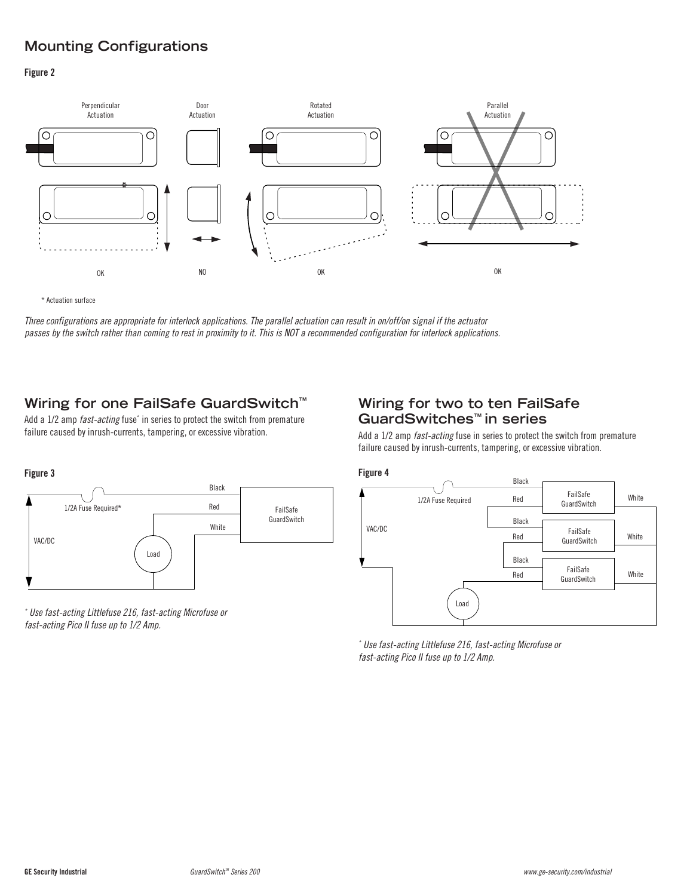# **Mounting Configurations**

### **Figure 2**



\* Actuation surface

Three configurations are appropriate for interlock applications. The parallel actuation can result in on/off/on signal if the actuator passes by the switch rather than coming to rest in proximity to it. This is NOT a recommended configuration for interlock applications.

## **Wiring for one FailSafe GuardSwitch™**

Add a 1/2 amp *fast-acting* fuse<sup>\*</sup> in series to protect the switch from premature failure caused by inrush-currents, tampering, or excessive vibration.

### **Wiring for two to ten FailSafe GuardSwitches™ in series**

Add a 1/2 amp *fast-acting* fuse in series to protect the switch from premature failure caused by inrush-currents, tampering, or excessive vibration.



\* Use fast-acting Littlefuse 216, fast-acting Microfuse or fast-acting Pico II fuse up to 1/2 Amp.



\* Use fast-acting Littlefuse 216, fast-acting Microfuse or fast-acting Pico II fuse up to 1/2 Amp.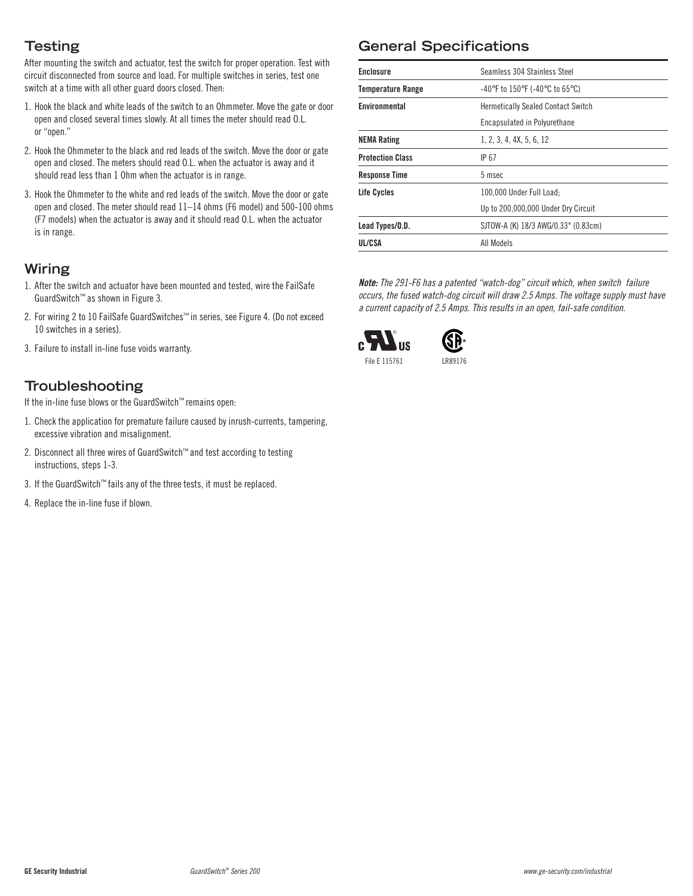# **Testing**

After mounting the switch and actuator, test the switch for proper operation. Test with circuit disconnected from source and load. For multiple switches in series, test one switch at a time with all other guard doors closed. Then:

- 1. Hook the black and white leads of the switch to an Ohmmeter. Move the gate or door open and closed several times slowly. At all times the meter should read O.L. or "open."
- 2. Hook the Ohmmeter to the black and red leads of the switch. Move the door or gate open and closed. The meters should read O.L. when the actuator is away and it should read less than 1 Ohm when the actuator is in range.
- 3. Hook the Ohmmeter to the white and red leads of the switch. Move the door or gate open and closed. The meter should read 11–14 ohms (F6 model) and 500-100 ohms (F7 models) when the actuator is away and it should read O.L. when the actuator is in range.

### **Wiring**

- 1. After the switch and actuator have been mounted and tested, wire the FailSafe GuardSwitch™ as shown in Figure 3.
- 2. For wiring 2 to 10 FailSafe GuardSwitches™ in series, see Figure 4. (Do not exceed 10 switches in a series).
- 3. Failure to install in-line fuse voids warranty.

## **Troubleshooting**

If the in-line fuse blows or the GuardSwitch™ remains open:

- 1. Check the application for premature failure caused by inrush-currents, tampering, excessive vibration and misalignment.
- 2. Disconnect all three wires of GuardSwitch™ and test according to testing instructions, steps 1-3.
- 3. If the GuardSwitch™ fails any of the three tests, it must be replaced.
- 4. Replace the in-line fuse if blown.

# **General Specifications**

| <b>Enclosure</b>         | Seamless 304 Stainless Steel                                              |
|--------------------------|---------------------------------------------------------------------------|
| <b>Temperature Range</b> | $-40^{\circ}$ F to 150 $^{\circ}$ F (-40 $^{\circ}$ C to 65 $^{\circ}$ C) |
| Environmental            | <b>Hermetically Sealed Contact Switch</b>                                 |
|                          | Encapsulated in Polyurethane                                              |
| <b>NEMA Rating</b>       | 1, 2, 3, 4, 4X, 5, 6, 12                                                  |
| <b>Protection Class</b>  | IP 67                                                                     |
| <b>Response Time</b>     | 5 msec                                                                    |
| Life Cycles              | 100.000 Under Full Load:                                                  |
|                          | Up to 200,000,000 Under Dry Circuit                                       |
| Lead Types/O.D.          | SJTOW-A (K) 18/3 AWG/0.33" (0.83cm)                                       |
| UL/CSA                   | All Models                                                                |

**Note:** The 291-F6 has a patented "watch-dog" circuit which, when switch failure occurs, the fused watch-dog circuit will draw 2.5 Amps. The voltage supply must have a current capacity of 2.5 Amps. This results in an open, fail-safe condition.